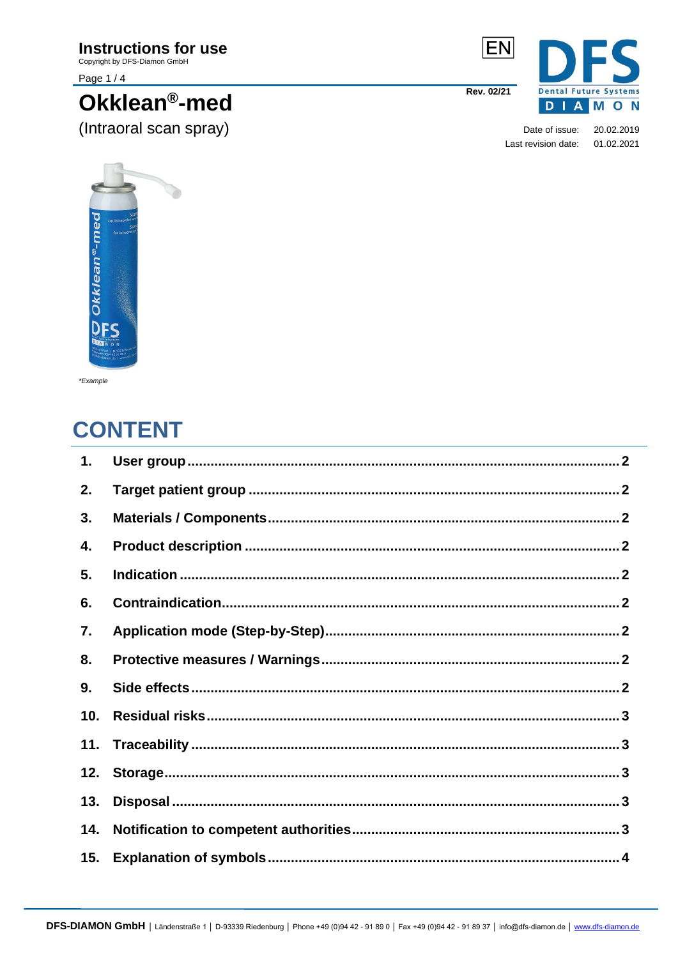# **Instructions for use**

Copyright by DFS-Diamon GmbH

Page 1/4

# Okklean<sup>®</sup>-med (Intraoral scan spray)



Date of issue: 20.02.2019 Last revision date: 01.02.2021



\*Example

# **CONTENT**

| 1.  |  |
|-----|--|
| 2.  |  |
| 3.  |  |
| 4.  |  |
| 5.  |  |
| 6.  |  |
| 7.  |  |
| 8.  |  |
| 9.  |  |
| 10. |  |
| 11. |  |
| 12. |  |
| 13. |  |
| 14. |  |
| 15. |  |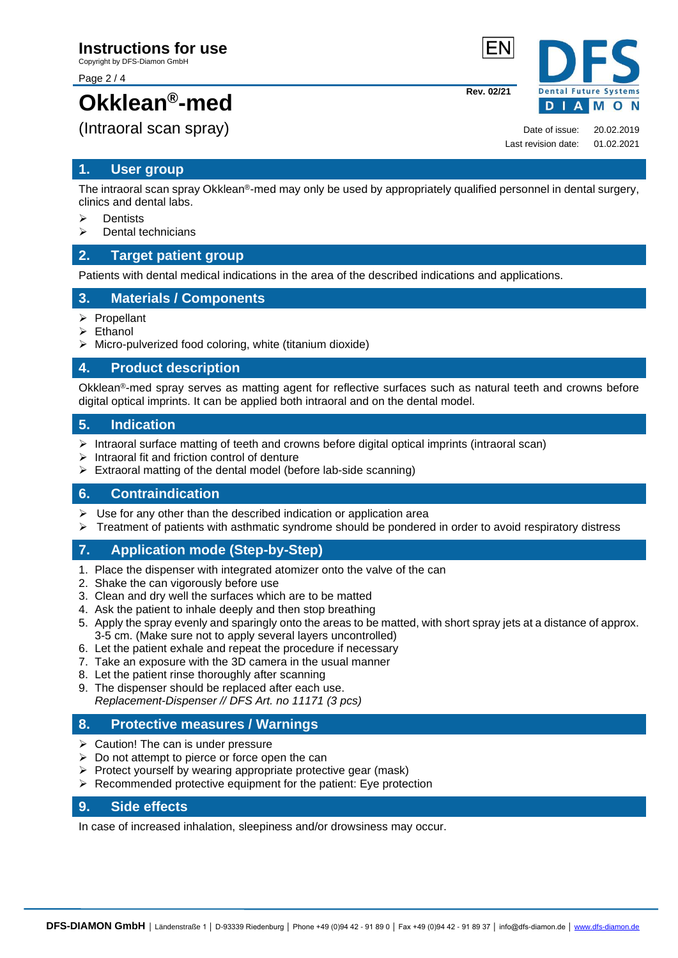Copyright by DFS-Diamon GmbH

Page 2 / 4

# **Okklean®-med**

(Intraoral scan spray)

# <span id="page-1-0"></span>**1. User group**

The intraoral scan spray Okklean®-med may only be used by appropriately qualified personnel in dental surgery, clinics and dental labs.

- ➢ Dentists
- ➢ Dental technicians

### <span id="page-1-1"></span>**2. Target patient group**

Patients with dental medical indications in the area of the described indications and applications.

### <span id="page-1-2"></span>**3. Materials / Components**

- ➢ Propellant
- **Ethanol**
- $\triangleright$  Micro-pulverized food coloring, white (titanium dioxide)

### <span id="page-1-3"></span>**4. Product description**

Okklean®-med spray serves as matting agent for reflective surfaces such as natural teeth and crowns before digital optical imprints. It can be applied both intraoral and on the dental model.

### <span id="page-1-4"></span>**5. Indication**

- ➢ Intraoral surface matting of teeth and crowns before digital optical imprints (intraoral scan)
- ➢ Intraoral fit and friction control of denture
- ➢ Extraoral matting of the dental model (before lab-side scanning)

### <span id="page-1-5"></span>**6. Contraindication**

- $\triangleright$  Use for any other than the described indication or application area
- ➢ Treatment of patients with asthmatic syndrome should be pondered in order to avoid respiratory distress

## <span id="page-1-6"></span>**7. Application mode (Step-by-Step)**

- 1. Place the dispenser with integrated atomizer onto the valve of the can
- 2. Shake the can vigorously before use
- 3. Clean and dry well the surfaces which are to be matted
- 4. Ask the patient to inhale deeply and then stop breathing
- 5. Apply the spray evenly and sparingly onto the areas to be matted, with short spray jets at a distance of approx. 3-5 cm. (Make sure not to apply several layers uncontrolled)
- 6. Let the patient exhale and repeat the procedure if necessary
- 7. Take an exposure with the 3D camera in the usual manner
- 8. Let the patient rinse thoroughly after scanning
- 9. The dispenser should be replaced after each use. *Replacement-Dispenser // DFS Art. no 11171 (3 pcs)*

### <span id="page-1-7"></span>**8. Protective measures / Warnings**

- ➢ Caution! The can is under pressure
- $\triangleright$  Do not attempt to pierce or force open the can
- ➢ Protect yourself by wearing appropriate protective gear (mask)
- ➢ Recommended protective equipment for the patient: Eye protection

### <span id="page-1-8"></span>**9. Side effects**

In case of increased inhalation, sleepiness and/or drowsiness may occur.

Date of issue: 20.02.2019 Last revision date: 01.02.2021

**Rev. 02/21**

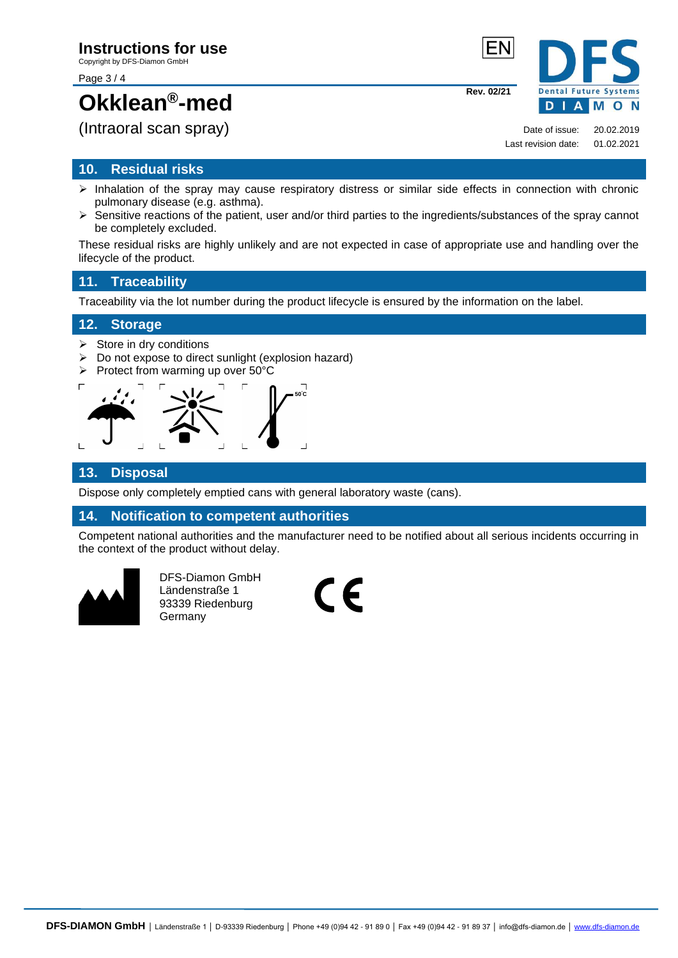Page 3 / 4

# **Okklean®-med**

(Intraoral scan spray)

## <span id="page-2-0"></span>**10. Residual risks**

- ➢ Inhalation of the spray may cause respiratory distress or similar side effects in connection with chronic pulmonary disease (e.g. asthma).
- ➢ Sensitive reactions of the patient, user and/or third parties to the ingredients/substances of the spray cannot be completely excluded.

These residual risks are highly unlikely and are not expected in case of appropriate use and handling over the lifecycle of the product.

# <span id="page-2-1"></span>**11. Traceability**

Traceability via the lot number during the product lifecycle is ensured by the information on the label.

### <span id="page-2-2"></span>**12. Storage**

- $\triangleright$  Store in dry conditions
- ➢ Do not expose to direct sunlight (explosion hazard)
- ➢ Protect from warming up over 50°C



# <span id="page-2-3"></span>**13. Disposal**

Dispose only completely emptied cans with general laboratory waste (cans).

### <span id="page-2-4"></span>**14. Notification to competent authorities**

Competent national authorities and the manufacturer need to be notified about all serious incidents occurring in the context of the product without delay.



DFS-Diamon GmbH Ländenstraße 1 93339 Riedenburg DFS-Diamon GmbH<br>Ländenstraße 1<br>93339 Riedenburg<br>Germany



**Rev. 02/21**



Date of issue: 20.02.2019 Last revision date: 01.02.2021